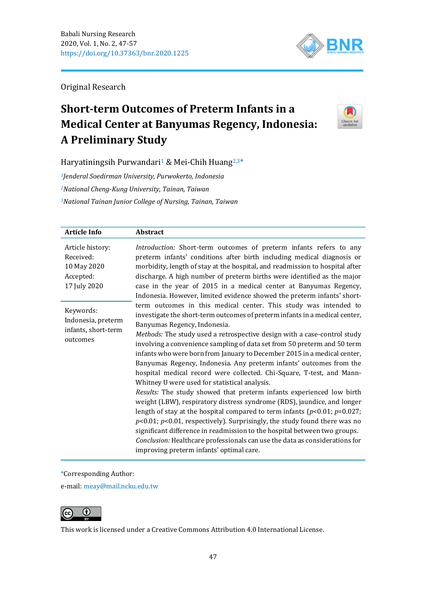

Original Research

# **Short-term Outcomes of Preterm Infants in a Medical Center at Banyumas Regency, Indonesia: A Preliminary Study**



Haryatiningsih Purwandari<sup>1</sup> & Mei-Chih Huang<sup>2,3\*</sup>

*<sup>1</sup>Jenderal Soedirman University, Purwokerto, Indonesia <sup>2</sup>National Cheng-Kung University, Tainan, Taiwan <sup>3</sup>National Tainan Junior College of Nursing, Tainan, Taiwan*

| <b>Article Info</b>                                                       | Abstract                                                                                                                                                                                                                                                                                                                                                                                                                                                                                                                                                                                                                                                                                                                                                                                                                                                                                                                                                                                                                                                                                                                                               |
|---------------------------------------------------------------------------|--------------------------------------------------------------------------------------------------------------------------------------------------------------------------------------------------------------------------------------------------------------------------------------------------------------------------------------------------------------------------------------------------------------------------------------------------------------------------------------------------------------------------------------------------------------------------------------------------------------------------------------------------------------------------------------------------------------------------------------------------------------------------------------------------------------------------------------------------------------------------------------------------------------------------------------------------------------------------------------------------------------------------------------------------------------------------------------------------------------------------------------------------------|
| Article history:<br>Received:<br>10 May 2020<br>Accepted:<br>17 July 2020 | Introduction: Short-term outcomes of preterm infants refers to any<br>preterm infants' conditions after birth including medical diagnosis or<br>morbidity, length of stay at the hospital, and readmission to hospital after<br>discharge. A high number of preterm births were identified as the major<br>case in the year of 2015 in a medical center at Banyumas Regency,<br>Indonesia. However, limited evidence showed the preterm infants' short-                                                                                                                                                                                                                                                                                                                                                                                                                                                                                                                                                                                                                                                                                                |
| Keywords:<br>Indonesia, preterm<br>infants, short-term<br>outcomes        | term outcomes in this medical center. This study was intended to<br>investigate the short-term outcomes of preterm infants in a medical center,<br>Banyumas Regency, Indonesia.<br>Methods: The study used a retrospective design with a case-control study<br>involving a convenience sampling of data set from 50 preterm and 50 term<br>infants who were born from January to December 2015 in a medical center,<br>Banyumas Regency, Indonesia. Any preterm infants' outcomes from the<br>hospital medical record were collected. Chi-Square, T-test, and Mann-<br>Whitney U were used for statistical analysis.<br>Results: The study showed that preterm infants experienced low birth<br>weight (LBW), respiratory distress syndrome (RDS), jaundice, and longer<br>length of stay at the hospital compared to term infants ( $p<0.01$ ; $p=0.027$ ;<br>$p<0.01$ ; $p<0.01$ , respectively). Surprisingly, the study found there was no<br>significant difference in readmission to the hospital between two groups.<br>Conclusion: Healthcare professionals can use the data as considerations for<br>improving preterm infants' optimal care. |

\*Corresponding Author:

e-mail: [meay@mail.ncku.edu.tw](mailto:meay@mail.ncku.edu.tw)



This work is licensed under a [Creative Commons Attribution 4.0 International License.](https://creativecommons.org/licenses/by/4.0/)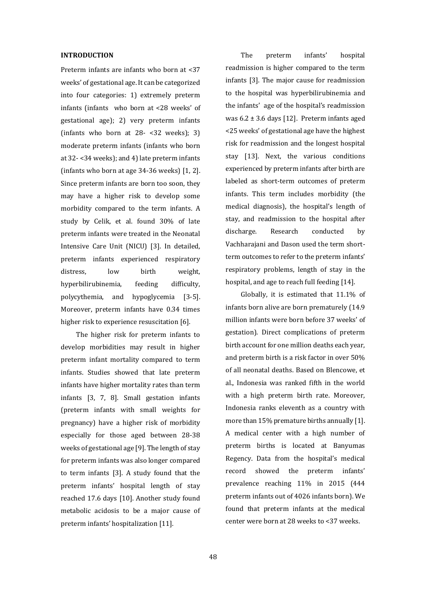## **INTRODUCTION**

Preterm infants are infants who born at <37 weeks' of gestational age. It can be categorized into four categories: 1) extremely preterm infants (infants who born at <28 weeks' of gestational age); 2) very preterm infants (infants who born at  $28 - 32$  weeks); 3) moderate preterm infants (infants who born at 32- <34 weeks); and 4) late preterm infants (infants who born at age 34-36 weeks) [\[1,](file:///C:/Users/ASUS-A456U/Downloads/25-Article%20Text-263-1-11-20200719.docx%23_ENREF_1) [2\]](file:///C:/Users/ASUS-A456U/Downloads/25-Article%20Text-263-1-11-20200719.docx%23_ENREF_2). Since preterm infants are born too soon, they may have a higher risk to develop some morbidity compared to the term infants. A study by Celik, et al. found 30% of late preterm infants were treated in the Neonatal Intensive Care Unit (NICU) [\[3\]](file:///C:/Users/ASUS-A456U/Downloads/25-Article%20Text-263-1-11-20200719.docx%23_ENREF_3). In detailed, preterm infants experienced respiratory distress, low birth weight, hyperbilirubinemia, feeding difficulty, polycythemia, and hypoglycemia [\[3-5\]](file:///C:/Users/ASUS-A456U/Downloads/25-Article%20Text-263-1-11-20200719.docx%23_ENREF_3). Moreover, preterm infants have 0.34 times higher risk to experience resuscitation [\[6\]](file:///C:/Users/ASUS-A456U/Downloads/25-Article%20Text-263-1-11-20200719.docx%23_ENREF_6).

The higher risk for preterm infants to develop morbidities may result in higher preterm infant mortality compared to term infants. Studies showed that late preterm infants have higher mortality rates than term infants [\[3,](file:///C:/Users/ASUS-A456U/Downloads/25-Article%20Text-263-1-11-20200719.docx%23_ENREF_3) [7,](file:///C:/Users/ASUS-A456U/Downloads/25-Article%20Text-263-1-11-20200719.docx%23_ENREF_7) [8\]](file:///C:/Users/ASUS-A456U/Downloads/25-Article%20Text-263-1-11-20200719.docx%23_ENREF_8). Small gestation infants (preterm infants with small weights for pregnancy) have a higher risk of morbidity especially for those aged between 28-38 weeks of gestational age [\[9\]](file:///C:/Users/ASUS-A456U/Downloads/25-Article%20Text-263-1-11-20200719.docx%23_ENREF_9). The length of stay for preterm infants was also longer compared to term infants [\[3\]](file:///C:/Users/ASUS-A456U/Downloads/25-Article%20Text-263-1-11-20200719.docx%23_ENREF_3). A study found that the preterm infants' hospital length of stay reached 17.6 days [\[10\]](file:///C:/Users/ASUS-A456U/Downloads/25-Article%20Text-263-1-11-20200719.docx%23_ENREF_10). Another study found metabolic acidosis to be a major cause of preterm infants' hospitalization [\[11\]](file:///C:/Users/ASUS-A456U/Downloads/25-Article%20Text-263-1-11-20200719.docx%23_ENREF_11).

The preterm infants' hospital readmission is higher compared to the term infants [\[3\]](file:///C:/Users/ASUS-A456U/Downloads/25-Article%20Text-263-1-11-20200719.docx%23_ENREF_3). The major cause for readmission to the hospital was hyperbilirubinemia and the infants' age of the hospital's readmission was  $6.2 \pm 3.6$  days [\[12\]](file:///C:/Users/ASUS-A456U/Downloads/25-Article%20Text-263-1-11-20200719.docx%23_ENREF_12). Preterm infants aged <25 weeks' of gestational age have the highest risk for readmission and the longest hospital stay [\[13\]](file:///C:/Users/ASUS-A456U/Downloads/25-Article%20Text-263-1-11-20200719.docx%23_ENREF_13). Next, the various conditions experienced by preterm infants after birth are labeled as short-term outcomes of preterm infants. This term includes morbidity (the medical diagnosis), the hospital's length of stay, and readmission to the hospital after discharge. Research conducted by Vachharajani and Dason used the term shortterm outcomes to refer to the preterm infants' respiratory problems, length of stay in the hospital, and age to reach full feeding [\[14\]](file:///C:/Users/ASUS-A456U/Downloads/25-Article%20Text-263-1-11-20200719.docx%23_ENREF_14).

Globally, it is estimated that 11.1% of infants born alive are born prematurely (14.9 million infants were born before 37 weeks' of gestation). Direct complications of preterm birth account for one million deaths each year, and preterm birth is a risk factor in over 50% of all neonatal deaths. Based on Blencowe, et al., Indonesia was ranked fifth in the world with a high preterm birth rate. Moreover, Indonesia ranks eleventh as a country with more than 15% premature births annually [\[1\]](file:///C:/Users/ASUS-A456U/Downloads/25-Article%20Text-263-1-11-20200719.docx%23_ENREF_1). A medical center with a high number of preterm births is located at Banyumas Regency. Data from the hospital's medical record showed the preterm infants' prevalence reaching 11% in 2015 (444 preterm infants out of 4026 infants born). We found that preterm infants at the medical center were born at 28 weeks to <37 weeks.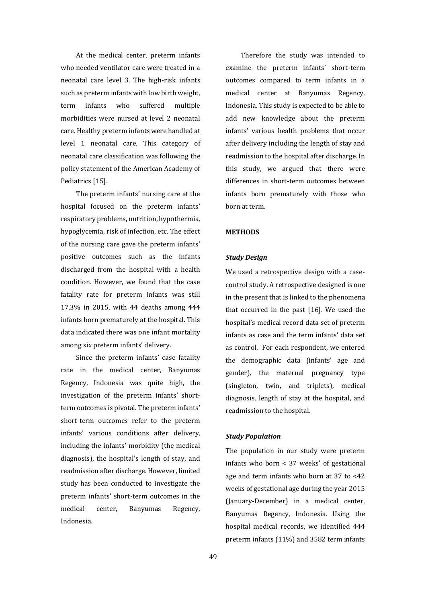At the medical center, preterm infants who needed ventilator care were treated in a neonatal care level 3. The high-risk infants such as preterm infants with low birth weight, term infants who suffered multiple morbidities were nursed at level 2 neonatal care. Healthy preterm infants were handled at level 1 neonatal care. This category of neonatal care classification was following the policy statement of the American Academy of Pediatrics [\[15\]](file:///C:/Users/ASUS-A456U/Downloads/25-Article%20Text-263-1-11-20200719.docx%23_ENREF_15).

The preterm infants' nursing care at the hospital focused on the preterm infants' respiratory problems, nutrition, hypothermia, hypoglycemia, risk of infection, etc. The effect of the nursing care gave the preterm infants' positive outcomes such as the infants discharged from the hospital with a health condition. However, we found that the case fatality rate for preterm infants was still 17.3% in 2015, with 44 deaths among 444 infants born prematurely at the hospital. This data indicated there was one infant mortality among six preterm infants' delivery.

Since the preterm infants' case fatality rate in the medical center, Banyumas Regency, Indonesia was quite high, the investigation of the preterm infants' shortterm outcomes is pivotal. The preterm infants' short-term outcomes refer to the preterm infants' various conditions after delivery, including the infants' morbidity (the medical diagnosis), the hospital's length of stay, and readmission after discharge. However, limited study has been conducted to investigate the preterm infants' short-term outcomes in the medical center, Banyumas Regency, Indonesia.

Therefore the study was intended to examine the preterm infants' short-term outcomes compared to term infants in a medical center at Banyumas Regency, Indonesia. This study is expected to be able to add new knowledge about the preterm infants' various health problems that occur after delivery including the length of stay and readmission to the hospital after discharge. In this study, we argued that there were differences in short-term outcomes between infants born prematurely with those who born at term.

## **METHODS**

## *Study Design*

We used a retrospective design with a casecontrol study. A retrospective designed is one in the present that is linked to the phenomena that occurred in the past [\[16\]](file:///C:/Users/ASUS-A456U/Downloads/25-Article%20Text-263-1-11-20200719.docx%23_ENREF_16). We used the hospital's medical record data set of preterm infants as case and the term infants' data set as control. For each respondent, we entered the demographic data (infants' age and gender), the maternal pregnancy type (singleton, twin, and triplets), medical diagnosis, length of stay at the hospital, and readmission to the hospital.

# *Study Population*

The population in our study were preterm infants who born < 37 weeks' of gestational age and term infants who born at 37 to <42 weeks of gestational age during the year 2015 (January-December) in a medical center, Banyumas Regency, Indonesia. Using the hospital medical records, we identified 444 preterm infants (11%) and 3582 term infants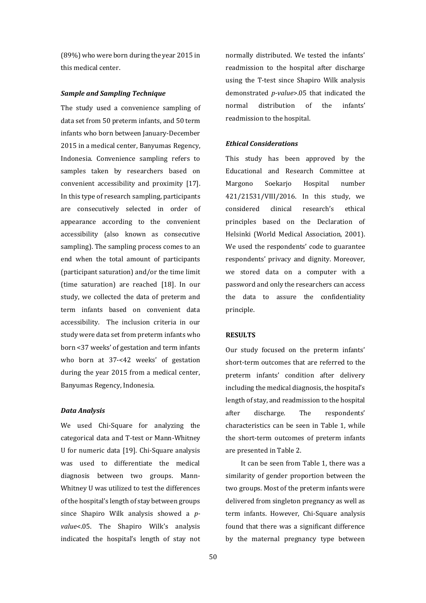(89%) who were born during the year 2015 in this medical center.

## *Sample and Sampling Technique*

The study used a convenience sampling of data set from 50 preterm infants, and 50 term infants who born between January-December 2015 in a medical center, Banyumas Regency, Indonesia. Convenience sampling refers to samples taken by researchers based on convenient accessibility and proximity [\[17\]](file:///C:/Users/ASUS-A456U/Downloads/25-Article%20Text-263-1-11-20200719.docx%23_ENREF_17). In this type of research sampling, participants are consecutively selected in order of appearance according to the convenient accessibility (also known as consecutive sampling). The sampling process comes to an end when the total amount of participants (participant saturation) and/or the time limit (time saturation) are reached [\[18\]](file:///C:/Users/ASUS-A456U/Downloads/25-Article%20Text-263-1-11-20200719.docx%23_ENREF_18). In our study, we collected the data of preterm and term infants based on convenient data accessibility. The inclusion criteria in our study were data set from preterm infants who born <37 weeks' of gestation and term infants who born at 37-<42 weeks' of gestation during the year 2015 from a medical center, Banyumas Regency, Indonesia.

#### *Data Analysis*

We used Chi-Square for analyzing the categorical data and T-test or Mann-Whitney U for numeric data [\[19\]](file:///C:/Users/ASUS-A456U/Downloads/25-Article%20Text-263-1-11-20200719.docx%23_ENREF_19). Chi-Square analysis was used to differentiate the medical diagnosis between two groups. Mann-Whitney U was utilized to test the differences of the hospital's length of stay between groups since Shapiro Wilk analysis showed a *pvalue*<.05. The Shapiro Wilk's analysis indicated the hospital's length of stay not normally distributed. We tested the infants' readmission to the hospital after discharge using the T-test since Shapiro Wilk analysis demonstrated *p-value*>.05 that indicated the normal distribution of the infants' readmission to the hospital.

#### *Ethical Considerations*

This study has been approved by the Educational and Research Committee at Margono Soekarjo Hospital number 421/21531/VIII/2016. In this study, we considered clinical research's ethical principles based on the Declaration of Helsinki [\(World Medical Association, 2001\)](file:///C:/Users/ASUS-A456U/Downloads/25-Article%20Text-263-1-11-20200719.docx%23_bookmark15). We used the respondents' code to guarantee respondents' privacy and dignity. Moreover, we stored data on a computer with a password and only the researchers can access the data to assure the confidentiality principle.

## **RESULTS**

Our study focused on the preterm infants' short-term outcomes that are referred to the preterm infants' condition after delivery including the medical diagnosis, the hospital's length of stay, and readmission to the hospital after discharge. The respondents' characteristics can be seen in Table 1, while the short-term outcomes of preterm infants are presented in Table 2.

It can be seen from Table 1, there was a similarity of gender proportion between the two groups. Most of the preterm infants were delivered from singleton pregnancy as well as term infants. However, Chi-Square analysis found that there was a significant difference by the maternal pregnancy type between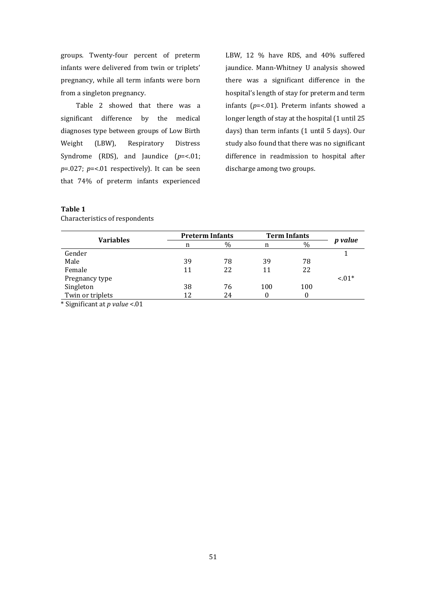groups. Twenty-four percent of preterm infants were delivered from twin or triplets' pregnancy, while all term infants were born from a singleton pregnancy.

Table 2 showed that there was a significant difference by the medical diagnoses type between groups of Low Birth Weight (LBW), Respiratory Distress Syndrome (RDS), and Jaundice ( $p = < 01$ ; *p*=.027; *p*=<.01 respectively). It can be seen that 74% of preterm infants experienced LBW, 12 % have RDS, and 40% suffered jaundice. Mann-Whitney U analysis showed there was a significant difference in the hospital's length of stay for preterm and term infants (*p*=<.01). Preterm infants showed a longer length of stay at the hospital (1 until 25 days) than term infants (1 until 5 days). Our study also found that there was no significant difference in readmission to hospital after discharge among two groups.

# **Table 1**

| <b>Preterm Infants</b> |      | <b>Term Infants</b> |      |                |
|------------------------|------|---------------------|------|----------------|
| n                      | $\%$ | n                   | $\%$ | <i>p</i> value |
|                        |      |                     |      |                |
| 39                     | 78   | 39                  | 78   |                |
| 11                     | 22   | 11                  | 22   |                |
|                        |      |                     |      | $< 01*$        |
| 38                     | 76   | 100                 | 100  |                |
| 12                     | 24   |                     |      |                |
|                        |      |                     |      |                |

Characteristics of respondents

\* Significant at *p value* <.01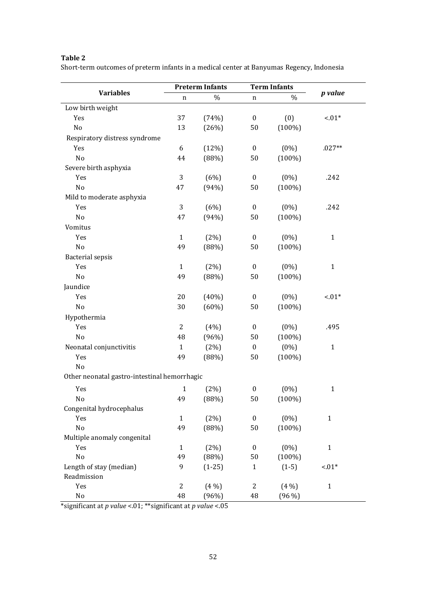# **Table 2**

Short-term outcomes of preterm infants in a medical center at Banyumas Regency, Indonesia

|                                              | <b>Preterm Infants</b> |          | <b>Term Infants</b> |           |              |  |  |  |  |
|----------------------------------------------|------------------------|----------|---------------------|-----------|--------------|--|--|--|--|
| <b>Variables</b>                             | n                      | $\%$     | n                   | %         | p value      |  |  |  |  |
| Low birth weight                             |                        |          |                     |           |              |  |  |  |  |
| Yes                                          | 37                     | (74%)    | $\boldsymbol{0}$    | (0)       | $-.01*$      |  |  |  |  |
| No                                           | 13                     | (26%)    | 50                  | $(100\%)$ |              |  |  |  |  |
| Respiratory distress syndrome                |                        |          |                     |           |              |  |  |  |  |
| Yes                                          | 6                      | (12%)    | $\pmb{0}$           | $(0\%)$   | $.027**$     |  |  |  |  |
| No                                           | 44                     | (88%)    | 50                  | $(100\%)$ |              |  |  |  |  |
| Severe birth asphyxia                        |                        |          |                     |           |              |  |  |  |  |
| Yes                                          | 3                      | (6%)     | $\boldsymbol{0}$    | $(0\%)$   | .242         |  |  |  |  |
| No                                           | 47                     | (94%)    | 50                  | $(100\%)$ |              |  |  |  |  |
| Mild to moderate asphyxia                    |                        |          |                     |           |              |  |  |  |  |
| Yes                                          | 3                      | (6%)     | $\boldsymbol{0}$    | $(0\%)$   | .242         |  |  |  |  |
| No                                           | 47                     | (94%)    | 50                  | $(100\%)$ |              |  |  |  |  |
| Vomitus                                      |                        |          |                     |           |              |  |  |  |  |
| Yes                                          | $\mathbf{1}$           | (2%)     | $\boldsymbol{0}$    | $(0\%)$   | $\mathbf{1}$ |  |  |  |  |
| No                                           | 49                     | (88%)    | 50                  | $(100\%)$ |              |  |  |  |  |
| <b>Bacterial sepsis</b>                      |                        |          |                     |           |              |  |  |  |  |
| Yes                                          | $\mathbf{1}$           | (2%)     | $\boldsymbol{0}$    | $(0\%)$   | $\mathbf{1}$ |  |  |  |  |
| No                                           | 49                     | (88%)    | 50                  | $(100\%)$ |              |  |  |  |  |
| Jaundice                                     |                        |          |                     |           |              |  |  |  |  |
| Yes                                          | 20                     | (40%)    | $\boldsymbol{0}$    | $(0\%)$   | $-.01*$      |  |  |  |  |
| No                                           | 30                     | (60%)    | 50                  | $(100\%)$ |              |  |  |  |  |
| Hypothermia                                  |                        |          |                     |           |              |  |  |  |  |
| Yes                                          | $\overline{2}$         | (4%)     | $\pmb{0}$           | $(0\%)$   | .495         |  |  |  |  |
| No                                           | 48                     | (96%)    | 50                  | $(100\%)$ |              |  |  |  |  |
| Neonatal conjunctivitis                      | $\mathbf{1}$           | (2%)     | $\boldsymbol{0}$    | $(0\%)$   | $\mathbf{1}$ |  |  |  |  |
| Yes                                          | 49                     | (88%)    | 50                  | $(100\%)$ |              |  |  |  |  |
| No                                           |                        |          |                     |           |              |  |  |  |  |
| Other neonatal gastro-intestinal hemorrhagic |                        |          |                     |           |              |  |  |  |  |
| Yes                                          | $\mathbf{1}$           | (2%)     | $\boldsymbol{0}$    | $(0\%)$   | $\mathbf{1}$ |  |  |  |  |
| $N_{\Omega}$                                 | 49                     | (88%)    | $50\,$              | $(100\%)$ |              |  |  |  |  |
| Congenital hydrocephalus                     |                        |          |                     |           |              |  |  |  |  |
| Yes                                          | $\mathbf{1}$           | (2%)     | $\boldsymbol{0}$    | $(0\%)$   | $\mathbf{1}$ |  |  |  |  |
| $\rm No$                                     | 49                     | (88%)    | 50                  | $(100\%)$ |              |  |  |  |  |
| Multiple anomaly congenital                  |                        |          |                     |           |              |  |  |  |  |
| Yes                                          | $\mathbf{1}$           | (2%)     | $\boldsymbol{0}$    | $(0\%)$   | $\mathbf{1}$ |  |  |  |  |
| $\rm No$                                     | 49                     | (88%)    | 50                  | $(100\%)$ |              |  |  |  |  |
| Length of stay (median)                      | 9                      | $(1-25)$ | $\mathbf{1}$        | $(1-5)$   | $-.01*$      |  |  |  |  |
| Readmission                                  |                        |          |                     |           |              |  |  |  |  |
| Yes                                          | 2                      | $(4\%)$  | $\overline{c}$      | $(4\%)$   | $\mathbf{1}$ |  |  |  |  |
| No                                           | 48                     | (96%)    | 48                  | $(96\%)$  |              |  |  |  |  |

\*significant at *p value* <.01; \*\*significant at *p value* <.05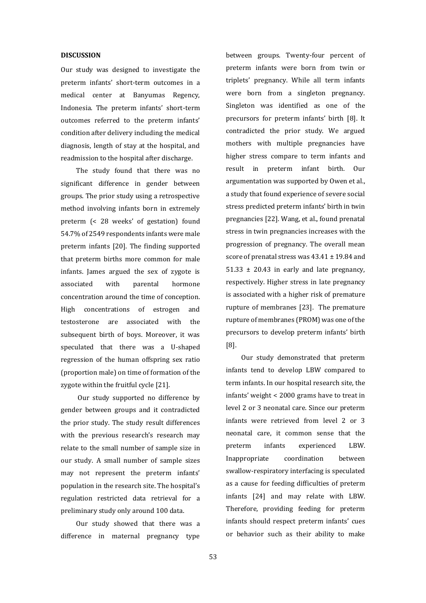## **DISCUSSION**

Our study was designed to investigate the preterm infants' short-term outcomes in a medical center at Banyumas Regency, Indonesia. The preterm infants' short-term outcomes referred to the preterm infants' condition after delivery including the medical diagnosis, length of stay at the hospital, and readmission to the hospital after discharge.

The study found that there was no significant difference in gender between groups. The prior study using a retrospective method involving infants born in extremely preterm (< 28 weeks' of gestation) found 54.7% of 2549 respondents infants were male preterm infants [20]. The finding supported that preterm births more common for male infants. James argued the sex of zygote is associated with parental hormone concentration around the time of conception. High concentrations of estrogen and testosterone are associated with the subsequent birth of boys. Moreover, it was speculated that there was a U-shaped regression of the human offspring sex ratio (proportion male) on time of formation of the zygote within the fruitful cycle [21].

Our study supported no difference by gender between groups and it contradicted the prior study. The study result differences with the previous research's research may relate to the small number of sample size in our study. A small number of sample sizes may not represent the preterm infants' population in the research site. The hospital's regulation restricted data retrieval for a preliminary study only around 100 data.

Our study showed that there was a difference in maternal pregnancy type

between groups. Twenty-four percent of preterm infants were born from twin or triplets' pregnancy. While all term infants were born from a singleton pregnancy. Singleton was identified as one of the precursors for preterm infants' birth [8]. It contradicted the prior study. We argued mothers with multiple pregnancies have higher stress compare to term infants and result in preterm infant birth. Our argumentation was supported by Owen et al., a study that found experience of severe social stress predicted preterm infants' birth in twin pregnancies [22]. Wang, et al., found prenatal stress in twin pregnancies increases with the progression of pregnancy. The overall mean score of prenatal stress was  $43.41 \pm 19.84$  and  $51.33 \pm 20.43$  in early and late pregnancy, respectively. Higher stress in late pregnancy is associated with a higher risk of premature rupture of membranes [23]. The premature rupture of membranes (PROM) was one of the precursors to develop preterm infants' birth [8].

Our study demonstrated that preterm infants tend to develop LBW compared to term infants. In our hospital research site, the infants' weight < 2000 grams have to treat in level 2 or 3 neonatal care. Since our preterm infants were retrieved from level 2 or 3 neonatal care, it common sense that the preterm infants experienced LBW. Inappropriate coordination between swallow-respiratory interfacing is speculated as a cause for feeding difficulties of preterm infants [24] and may relate with LBW. Therefore, providing feeding for preterm infants should respect preterm infants' cues or behavior such as their ability to make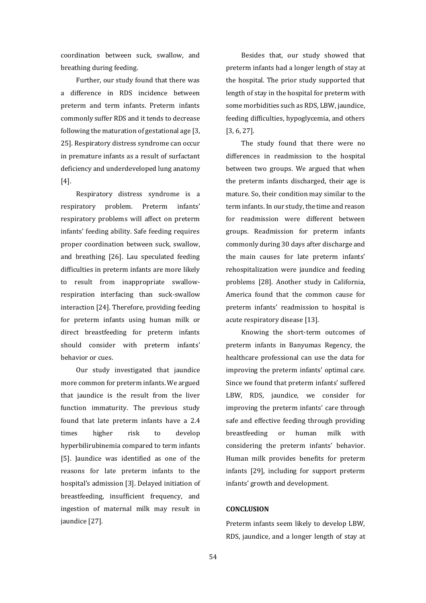coordination between suck, swallow, and breathing during feeding.

Further, our study found that there was a difference in RDS incidence between preterm and term infants. Preterm infants commonly suffer RDS and it tends to decrease following the maturation of gestational age [3, 25]. Respiratory distress syndrome can occur in premature infants as a result of surfactant deficiency and underdeveloped lung anatomy [4].

Respiratory distress syndrome is a respiratory problem. Preterm infants' respiratory problems will affect on preterm infants' feeding ability. Safe feeding requires proper coordination between suck, swallow, and breathing [26]. Lau speculated feeding difficulties in preterm infants are more likely to result from inappropriate swallowrespiration interfacing than suck-swallow interaction [24]. Therefore, providing feeding for preterm infants using human milk or direct breastfeeding for preterm infants should consider with preterm infants' behavior or cues.

Our study investigated that jaundice more common for preterm infants. We argued that jaundice is the result from the liver function immaturity. The previous study found that late preterm infants have a 2.4 times higher risk to develop hyperbilirubinemia compared to term infants [5]. Jaundice was identified as one of the reasons for late preterm infants to the hospital's admission [3]. Delayed initiation of breastfeeding, insufficient frequency, and ingestion of maternal milk may result in jaundice [27].

Besides that, our study showed that preterm infants had a longer length of stay at the hospital. The prior study supported that length of stay in the hospital for preterm with some morbidities such as RDS, LBW, jaundice, feeding difficulties, hypoglycemia, and others [3, 6, 27].

The study found that there were no differences in readmission to the hospital between two groups. We argued that when the preterm infants discharged, their age is mature. So, their condition may similar to the term infants. In our study, the time and reason for readmission were different between groups. Readmission for preterm infants commonly during 30 days after discharge and the main causes for late preterm infants' rehospitalization were jaundice and feeding problems [28]. Another study in California, America found that the common cause for preterm infants' readmission to hospital is acute respiratory disease [13].

Knowing the short-term outcomes of preterm infants in Banyumas Regency, the healthcare professional can use the data for improving the preterm infants' optimal care. Since we found that preterm infants' suffered LBW, RDS, jaundice, we consider for improving the preterm infants' care through safe and effective feeding through providing breastfeeding or human milk with considering the preterm infants' behavior. Human milk provides benefits for preterm infants [29], including for support preterm infants' growth and development.

# **CONCLUSION**

Preterm infants seem likely to develop LBW, RDS, jaundice, and a longer length of stay at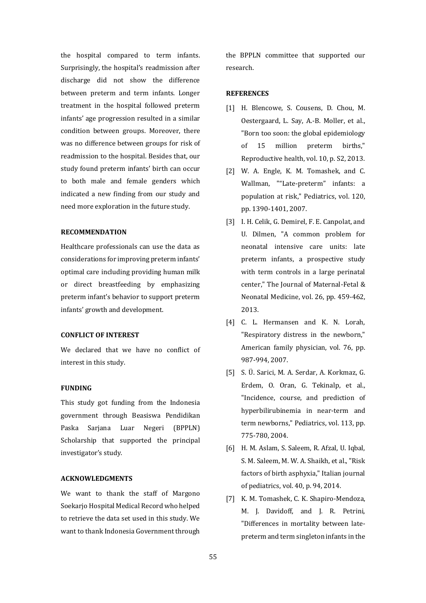the hospital compared to term infants. Surprisingly, the hospital's readmission after discharge did not show the difference between preterm and term infants. Longer treatment in the hospital followed preterm infants' age progression resulted in a similar condition between groups. Moreover, there was no difference between groups for risk of readmission to the hospital. Besides that, our study found preterm infants' birth can occur to both male and female genders which indicated a new finding from our study and need more exploration in the future study.

# **RECOMMENDATION**

Healthcare professionals can use the data as considerations for improving preterm infants' optimal care including providing human milk or direct breastfeeding by emphasizing preterm infant's behavior to support preterm infants' growth and development.

## **CONFLICT OF INTEREST**

We declared that we have no conflict of interest in this study.

## **FUNDING**

This study got funding from the Indonesia government through Beasiswa Pendidikan Paska Sarjana Luar Negeri (BPPLN) Scholarship that supported the principal investigator's study.

## **ACKNOWLEDGMENTS**

We want to thank the staff of Margono Soekarjo Hospital Medical Record who helped to retrieve the data set used in this study. We want to thank Indonesia Government through the BPPLN committee that supported our research.

## **REFERENCES**

- [1] H. Blencowe, S. Cousens, D. Chou, M. Oestergaard, L. Say, A.-B. Moller, et al., "Born too soon: the global epidemiology of 15 million preterm births," Reproductive health, vol. 10, p. S2, 2013.
- [2] W. A. Engle, K. M. Tomashek, and C. Wallman, ""Late-preterm" infants: a population at risk," Pediatrics, vol. 120, pp. 1390-1401, 2007.
- [3] I. H. Celik, G. Demirel, F. E. Canpolat, and U. Dilmen, "A common problem for neonatal intensive care units: late preterm infants, a prospective study with term controls in a large perinatal center," The Journal of Maternal-Fetal & Neonatal Medicine, vol. 26, pp. 459-462, 2013.
- [4] C. L. Hermansen and K. N. Lorah, "Respiratory distress in the newborn," American family physician, vol. 76, pp. 987-994, 2007.
- [5] S. Ü. Sarici, M. A. Serdar, A. Korkmaz, G. Erdem, O. Oran, G. Tekinalp, et al., "Incidence, course, and prediction of hyperbilirubinemia in near-term and term newborns," Pediatrics, vol. 113, pp. 775-780, 2004.
- [6] H. M. Aslam, S. Saleem, R. Afzal, U. Iqbal, S. M. Saleem, M. W. A. Shaikh, et al., "Risk factors of birth asphyxia," Italian journal of pediatrics, vol. 40, p. 94, 2014.
- [7] K. M. Tomashek, C. K. Shapiro-Mendoza, M. J. Davidoff, and J. R. Petrini, "Differences in mortality between latepreterm and term singleton infants in the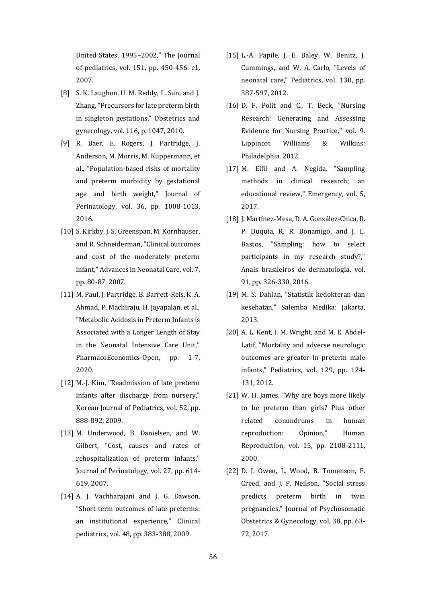United States, 1995–2002," The Journal of pediatrics, vol. 151, pp. 450-456. e1, 2007.

- [8] S. K. Laughon, U. M. Reddy, L. Sun, and J. Zhang, "Precursors for late preterm birth in singleton gestations," Obstetrics and gynecology, vol. 116, p. 1047, 2010.
- [9] R. Baer, E. Rogers, J. Partridge, J. Anderson, M. Morris, M. Kuppermann, et al., "Population-based risks of mortality and preterm morbidity by gestational age and birth weight," Journal of Perinatology, vol. 36, pp. 1008-1013, 2016.
- [10] S. Kirkby, J. S. Greenspan, M. Kornhauser, and R. Schneiderman, "Clinical outcomes and cost of the moderately preterm infant," Advances in Neonatal Care, vol. 7, pp. 80-87, 2007.
- [11] M. Paul, J. Partridge, B. Barrett-Reis, K. A. Ahmad, P. Machiraju, H. Jayapalan, et al., "Metabolic Acidosis in Preterm Infants is Associated with a Longer Length of Stay in the Neonatal Intensive Care Unit," PharmacoEconomics-Open, pp. 1-7, 2020.
- [12] M.-J. Kim, "Readmission of late preterm infants after discharge from nursery," Korean Journal of Pediatrics, vol. 52, pp. 888-892, 2009.
- [13] M. Underwood, B. Danielsen, and W. Gilbert, "Cost, causes and rates of rehospitalization of preterm infants," Journal of Perinatology, vol. 27, pp. 614- 619, 2007.
- [14] A. J. Vachharajani and J. G. Dawson, "Short-term outcomes of late preterms: an institutional experience," Clinical pediatrics, vol. 48, pp. 383-388, 2009.
- [15] L.-A. Papile, J. E. Baley, W. Benitz, J. Cummings, and W. A. Carlo, "Levels of neonatal care," Pediatrics, vol. 130, pp. 587-597, 2012.
- [16] D. F. Polit and C., T. Beck, "Nursing Research: Generating and Assessing Evidence for Nursing Practice," vol. 9. Lippincot Williams & Wilkins: Philadelphia, 2012.
- [17] M. Elfil and A. Negida, "Sampling methods in clinical research; an educational review," Emergency, vol. 5, 2017.
- [18] J. Martínez-Mesa, D. A. González-Chica, R. P. Duquia, R. R. Bonamigo, and J. L. Bastos, "Sampling: how to select participants in my research study?," Anais brasileiros de dermatologia, vol. 91, pp. 326-330, 2016.
- [19] M. S. Dahlan, "Statistik kedokteran dan kesehatan," Salemba Medika: Jakarta, 2013.
- [20] A. L. Kent, I. M. Wright, and M. E. Abdel-Latif, "Mortality and adverse neurologic outcomes are greater in preterm male infants," Pediatrics, vol. 129, pp. 124- 131, 2012.
- [21] W. H. James, "Why are boys more likely to be preterm than girls? Plus other related conundrums in human reproduction: Opinion," Human Reproduction, vol. 15, pp. 2108-2111, 2000.
- [22] D. J. Owen, L. Wood, B. Tomenson, F. Creed, and J. P. Neilson, "Social stress predicts preterm birth in twin pregnancies," Journal of Psychosomatic Obstetrics & Gynecology, vol. 38, pp. 63- 72, 2017.